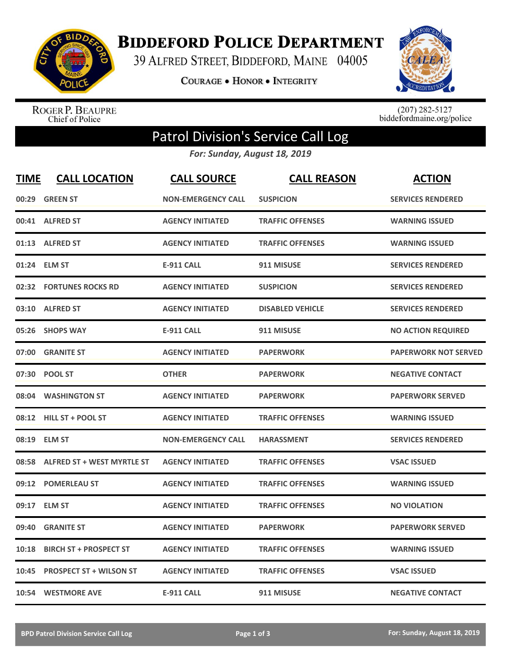

**BIDDEFORD POLICE DEPARTMENT** 

39 ALFRED STREET, BIDDEFORD, MAINE 04005

**COURAGE . HONOR . INTEGRITY** 



ROGER P. BEAUPRE<br>Chief of Police

 $(207)$  282-5127<br>biddefordmaine.org/police

## Patrol Division's Service Call Log

*For: Sunday, August 18, 2019*

| <b>TIME</b> | <b>CALL LOCATION</b>              | <b>CALL SOURCE</b>        | <b>CALL REASON</b>      | <b>ACTION</b>               |
|-------------|-----------------------------------|---------------------------|-------------------------|-----------------------------|
| 00:29       | <b>GREEN ST</b>                   | <b>NON-EMERGENCY CALL</b> | <b>SUSPICION</b>        | <b>SERVICES RENDERED</b>    |
| 00:41       | <b>ALFRED ST</b>                  | <b>AGENCY INITIATED</b>   | <b>TRAFFIC OFFENSES</b> | <b>WARNING ISSUED</b>       |
|             | 01:13 ALFRED ST                   | <b>AGENCY INITIATED</b>   | <b>TRAFFIC OFFENSES</b> | <b>WARNING ISSUED</b>       |
|             | 01:24 ELM ST                      | <b>E-911 CALL</b>         | 911 MISUSE              | <b>SERVICES RENDERED</b>    |
|             | 02:32 FORTUNES ROCKS RD           | <b>AGENCY INITIATED</b>   | <b>SUSPICION</b>        | <b>SERVICES RENDERED</b>    |
|             | 03:10 ALFRED ST                   | <b>AGENCY INITIATED</b>   | <b>DISABLED VEHICLE</b> | <b>SERVICES RENDERED</b>    |
| 05:26       | <b>SHOPS WAY</b>                  | <b>E-911 CALL</b>         | 911 MISUSE              | <b>NO ACTION REQUIRED</b>   |
| 07:00       | <b>GRANITE ST</b>                 | <b>AGENCY INITIATED</b>   | <b>PAPERWORK</b>        | <b>PAPERWORK NOT SERVED</b> |
| 07:30       | <b>POOL ST</b>                    | <b>OTHER</b>              | <b>PAPERWORK</b>        | <b>NEGATIVE CONTACT</b>     |
|             | 08:04 WASHINGTON ST               | <b>AGENCY INITIATED</b>   | <b>PAPERWORK</b>        | <b>PAPERWORK SERVED</b>     |
|             | 08:12 HILL ST + POOL ST           | <b>AGENCY INITIATED</b>   | <b>TRAFFIC OFFENSES</b> | <b>WARNING ISSUED</b>       |
|             | 08:19 ELM ST                      | <b>NON-EMERGENCY CALL</b> | <b>HARASSMENT</b>       | <b>SERVICES RENDERED</b>    |
| 08:58       | <b>ALFRED ST + WEST MYRTLE ST</b> | <b>AGENCY INITIATED</b>   | <b>TRAFFIC OFFENSES</b> | <b>VSAC ISSUED</b>          |
| 09:12       | <b>POMERLEAU ST</b>               | <b>AGENCY INITIATED</b>   | <b>TRAFFIC OFFENSES</b> | <b>WARNING ISSUED</b>       |
| 09:17       | <b>ELM ST</b>                     | <b>AGENCY INITIATED</b>   | <b>TRAFFIC OFFENSES</b> | <b>NO VIOLATION</b>         |
| 09:40       | <b>GRANITE ST</b>                 | <b>AGENCY INITIATED</b>   | <b>PAPERWORK</b>        | <b>PAPERWORK SERVED</b>     |
| 10:18       | <b>BIRCH ST + PROSPECT ST</b>     | <b>AGENCY INITIATED</b>   | <b>TRAFFIC OFFENSES</b> | <b>WARNING ISSUED</b>       |
| 10:45       | <b>PROSPECT ST + WILSON ST</b>    | <b>AGENCY INITIATED</b>   | <b>TRAFFIC OFFENSES</b> | <b>VSAC ISSUED</b>          |
|             | 10:54 WESTMORE AVE                | <b>E-911 CALL</b>         | 911 MISUSE              | <b>NEGATIVE CONTACT</b>     |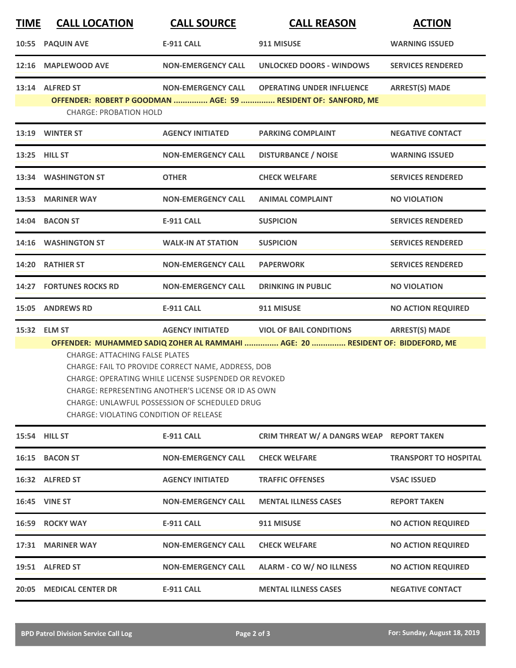| <b>TIME</b> | <b>CALL LOCATION</b>                                                                                                                                                                                                                                                                                                                                                                                                                                                                                               | <b>CALL SOURCE</b>        | <b>CALL REASON</b>                                                                                | <b>ACTION</b>                |  |  |
|-------------|--------------------------------------------------------------------------------------------------------------------------------------------------------------------------------------------------------------------------------------------------------------------------------------------------------------------------------------------------------------------------------------------------------------------------------------------------------------------------------------------------------------------|---------------------------|---------------------------------------------------------------------------------------------------|------------------------------|--|--|
| 10:55       | <b>PAQUIN AVE</b>                                                                                                                                                                                                                                                                                                                                                                                                                                                                                                  | <b>E-911 CALL</b>         | 911 MISUSE                                                                                        | <b>WARNING ISSUED</b>        |  |  |
| 12:16       | <b>MAPLEWOOD AVE</b>                                                                                                                                                                                                                                                                                                                                                                                                                                                                                               | <b>NON-EMERGENCY CALL</b> | <b>UNLOCKED DOORS - WINDOWS</b>                                                                   | <b>SERVICES RENDERED</b>     |  |  |
|             | 13:14 ALFRED ST<br><b>CHARGE: PROBATION HOLD</b>                                                                                                                                                                                                                                                                                                                                                                                                                                                                   | <b>NON-EMERGENCY CALL</b> | <b>OPERATING UNDER INFLUENCE</b><br>OFFENDER: ROBERT P GOODMAN  AGE: 59  RESIDENT OF: SANFORD, ME | <b>ARREST(S) MADE</b>        |  |  |
|             | 13:19 WINTER ST                                                                                                                                                                                                                                                                                                                                                                                                                                                                                                    | <b>AGENCY INITIATED</b>   | <b>PARKING COMPLAINT</b>                                                                          | <b>NEGATIVE CONTACT</b>      |  |  |
|             | 13:25 HILL ST                                                                                                                                                                                                                                                                                                                                                                                                                                                                                                      | <b>NON-EMERGENCY CALL</b> | <b>DISTURBANCE / NOISE</b>                                                                        | <b>WARNING ISSUED</b>        |  |  |
|             | 13:34 WASHINGTON ST                                                                                                                                                                                                                                                                                                                                                                                                                                                                                                | <b>OTHER</b>              | <b>CHECK WELFARE</b>                                                                              | <b>SERVICES RENDERED</b>     |  |  |
|             | 13:53 MARINER WAY                                                                                                                                                                                                                                                                                                                                                                                                                                                                                                  | <b>NON-EMERGENCY CALL</b> | <b>ANIMAL COMPLAINT</b>                                                                           | <b>NO VIOLATION</b>          |  |  |
|             | 14:04 BACON ST                                                                                                                                                                                                                                                                                                                                                                                                                                                                                                     | <b>E-911 CALL</b>         | <b>SUSPICION</b>                                                                                  | <b>SERVICES RENDERED</b>     |  |  |
|             | 14:16 WASHINGTON ST                                                                                                                                                                                                                                                                                                                                                                                                                                                                                                | <b>WALK-IN AT STATION</b> | <b>SUSPICION</b>                                                                                  | <b>SERVICES RENDERED</b>     |  |  |
|             | 14:20 RATHIER ST                                                                                                                                                                                                                                                                                                                                                                                                                                                                                                   | <b>NON-EMERGENCY CALL</b> | <b>PAPERWORK</b>                                                                                  | <b>SERVICES RENDERED</b>     |  |  |
|             | <b>14:27 FORTUNES ROCKS RD</b>                                                                                                                                                                                                                                                                                                                                                                                                                                                                                     | <b>NON-EMERGENCY CALL</b> | <b>DRINKING IN PUBLIC</b>                                                                         | <b>NO VIOLATION</b>          |  |  |
| 15:05       | <b>ANDREWS RD</b>                                                                                                                                                                                                                                                                                                                                                                                                                                                                                                  | <b>E-911 CALL</b>         | 911 MISUSE                                                                                        | <b>NO ACTION REQUIRED</b>    |  |  |
|             | <b>ARREST(S) MADE</b><br>15:32 ELM ST<br><b>AGENCY INITIATED</b><br><b>VIOL OF BAIL CONDITIONS</b><br>OFFENDER: MUHAMMED SADIQ ZOHER AL RAMMAHI  AGE: 20  RESIDENT OF: BIDDEFORD, ME<br><b>CHARGE: ATTACHING FALSE PLATES</b><br>CHARGE: FAIL TO PROVIDE CORRECT NAME, ADDRESS, DOB<br><b>CHARGE: OPERATING WHILE LICENSE SUSPENDED OR REVOKED</b><br>CHARGE: REPRESENTING ANOTHER'S LICENSE OR ID AS OWN<br><b>CHARGE: UNLAWFUL POSSESSION OF SCHEDULED DRUG</b><br><b>CHARGE: VIOLATING CONDITION OF RELEASE</b> |                           |                                                                                                   |                              |  |  |
|             | 15:54 HILL ST                                                                                                                                                                                                                                                                                                                                                                                                                                                                                                      | <b>E-911 CALL</b>         | CRIM THREAT W/ A DANGRS WEAP REPORT TAKEN                                                         |                              |  |  |
| 16:15       | <b>BACON ST</b>                                                                                                                                                                                                                                                                                                                                                                                                                                                                                                    | <b>NON-EMERGENCY CALL</b> | <b>CHECK WELFARE</b>                                                                              | <b>TRANSPORT TO HOSPITAL</b> |  |  |
|             | 16:32 ALFRED ST                                                                                                                                                                                                                                                                                                                                                                                                                                                                                                    | <b>AGENCY INITIATED</b>   | <b>TRAFFIC OFFENSES</b>                                                                           | <b>VSAC ISSUED</b>           |  |  |
|             | <b>16:45 VINE ST</b>                                                                                                                                                                                                                                                                                                                                                                                                                                                                                               | <b>NON-EMERGENCY CALL</b> | <b>MENTAL ILLNESS CASES</b>                                                                       | <b>REPORT TAKEN</b>          |  |  |
|             | 16:59 ROCKY WAY                                                                                                                                                                                                                                                                                                                                                                                                                                                                                                    | <b>E-911 CALL</b>         | 911 MISUSE                                                                                        | <b>NO ACTION REQUIRED</b>    |  |  |
|             | 17:31 MARINER WAY                                                                                                                                                                                                                                                                                                                                                                                                                                                                                                  | <b>NON-EMERGENCY CALL</b> | <b>CHECK WELFARE</b>                                                                              | <b>NO ACTION REQUIRED</b>    |  |  |
|             | 19:51 ALFRED ST                                                                                                                                                                                                                                                                                                                                                                                                                                                                                                    | <b>NON-EMERGENCY CALL</b> | <b>ALARM - CO W/ NO ILLNESS</b>                                                                   | <b>NO ACTION REQUIRED</b>    |  |  |
|             |                                                                                                                                                                                                                                                                                                                                                                                                                                                                                                                    |                           |                                                                                                   |                              |  |  |